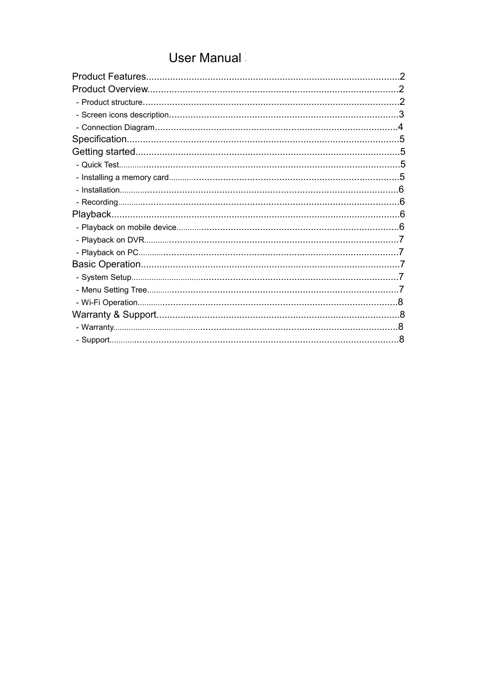# **User Manual**

| 2 |
|---|
|   |
|   |
|   |
|   |
|   |
|   |
|   |
|   |
|   |
|   |
|   |
|   |
|   |
|   |
|   |
|   |
|   |
|   |
|   |
|   |
|   |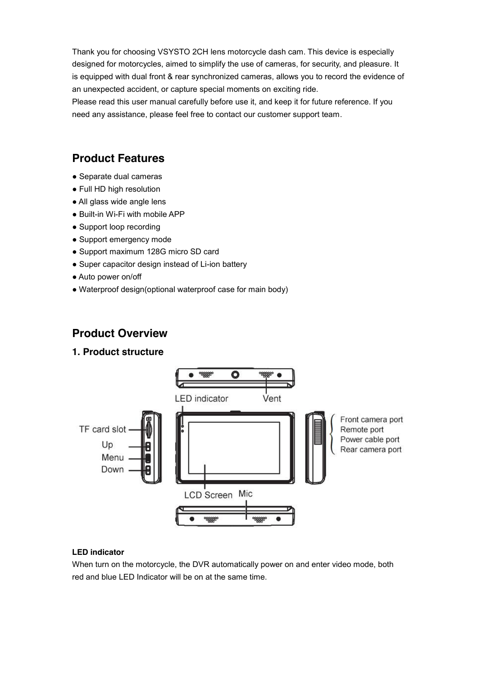Thank you for choosing VSYSTO 2CH lens motorcycle dash cam. This device is especially designed for motorcycles, aimed to simplify the use of cameras, for security, and pleasure. It is equipped with dual front & rear synchronized cameras, allows you to record the evidence of an unexpected accident, or capture special moments on exciting ride.

Please read this user manual carefully before use it, and keep it for future reference. If you need any assistance, please feel free to contact our customer support team.

## **Product Features**

- Separate dual cameras
- Full HD high resolution
- All glass wide angle lens
- Built-in Wi-Fi with mobile APP
- Support loop recording
- Support emergency mode
- Support maximum 128G micro SD card
- Super capacitor design instead of Li-ion battery
- Auto power on/off
- Waterproof design(optional waterproof case for main body)

## **Product Overview**

#### **1. Product structure**



#### **LED indicator**

When turn on the motorcycle, the DVR automatically power on and enter video mode, both red and blue LED Indicator will be on at the same time.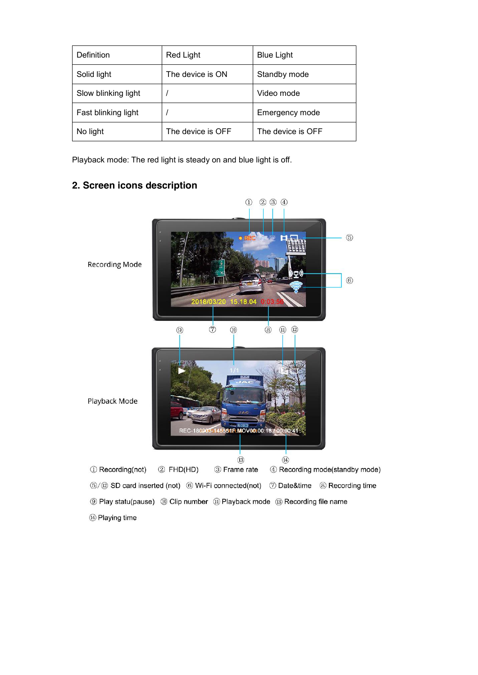| Definition          | Red Light         | <b>Blue Light</b> |
|---------------------|-------------------|-------------------|
| Solid light         | The device is ON  | Standby mode      |
| Slow blinking light |                   | Video mode        |
| Fast blinking light |                   | Emergency mode    |
| No light            | The device is OFF | The device is OFF |

Playback mode: The red light is steady on and blue light is off.

## **2. Screen icons description**

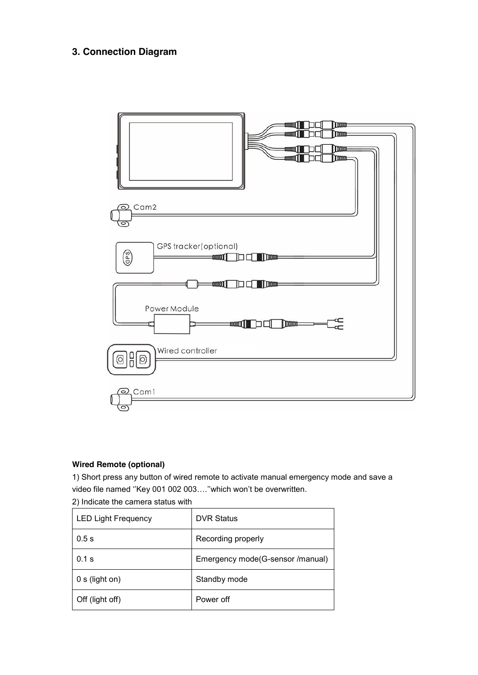## **3. Connection Diagram**



#### **Wired Remote (optional)**

1) Short press any button of wired remote to activate manual emergency mode and save a video file named ''Key 001 002 003….''which won't be overwritten.

2) Indicate the camera status with

| <b>LED Light Frequency</b> | <b>DVR Status</b>                |
|----------------------------|----------------------------------|
| 0.5s                       | Recording properly               |
| $0.1$ s                    | Emergency mode(G-sensor /manual) |
| 0 s (light on)             | Standby mode                     |
| Off (light off)            | Power off                        |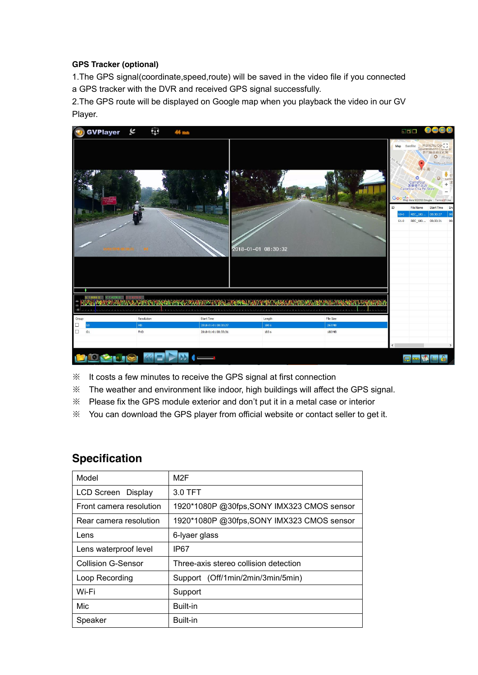#### **GPS Tracker (optional)**

1.The GPS signal(coordinate,speed,route) will be saved in the video file if you connected a GPS tracker with the DVR and received GPS signal successfully.

2.The GPS route will be displayed on Google map when you playback the video in our GV Player.



- ※ It costs a few minutes to receive the GPS signal at first connection
- ※ The weather and environment like indoor, high buildings will affect the GPS signal.
- ※ Please fix the GPS module exterior and don't put it in a metal case or interior
- ※ You can download the GPS player from official website or contact seller to get it.

## **Specification**

| Model                     | M <sub>2</sub> F                           |
|---------------------------|--------------------------------------------|
| LCD Screen Display        | 3.0 TFT                                    |
| Front camera resolution   | 1920*1080P @30fps, SONY IMX323 CMOS sensor |
| Rear camera resolution    | 1920*1080P @30fps, SONY IMX323 CMOS sensor |
| Lens                      | 6-Iyaer glass                              |
| Lens waterproof level     | IP67                                       |
| <b>Collision G-Sensor</b> | Three-axis stereo collision detection      |
| Loop Recording            | Support (Off/1min/2min/3min/5min)          |
| Wi-Fi                     | Support                                    |
| Mic                       | Built-in                                   |
| Speaker                   | Built-in                                   |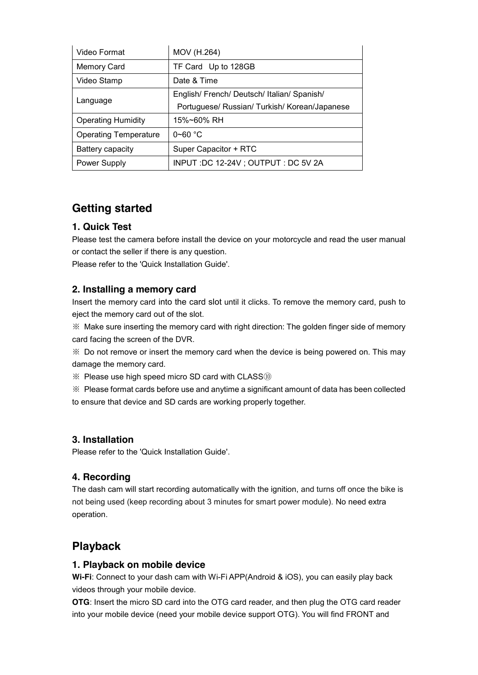| Video Format                 | MOV (H.264)                                   |
|------------------------------|-----------------------------------------------|
| <b>Memory Card</b>           | TF Card Up to 128GB                           |
| Video Stamp                  | Date & Time                                   |
|                              | English/ French/ Deutsch/ Italian/ Spanish/   |
| Language                     | Portuguese/ Russian/ Turkish/ Korean/Japanese |
| <b>Operating Humidity</b>    | 15%~60% RH                                    |
| <b>Operating Temperature</b> | $0 - 60$ °C                                   |
| Battery capacity             | Super Capacitor + RTC                         |
| <b>Power Supply</b>          | INPUT :DC 12-24V ; OUTPUT : DC 5V 2A          |

## **Getting started**

## **1. Quick Test**

Please test the camera before install the device on your motorcycle and read the user manual or contact the seller if there is any question.

Please refer to the 'Quick Installation Guide'.

#### **2. Installing a memory card**

Insert the memory card into the card slot until it clicks. To remove the memory card, push to eject the memory card out of the slot.

※ Make sure inserting the memory card with right direction: The golden finger side of memory card facing the screen of the DVR.

※ Do not remove or insert the memory card when the device is being powered on. This may damage the memory card.

※ Please use high speed micro SD card with CLASS⑩

※ Please format cards before use and anytime a significant amount of data has been collected to ensure that device and SD cards are working properly together.

#### **3. Installation**

Please refer to the 'Quick Installation Guide'.

## **4. Recording**

The dash cam will start recording automatically with the ignition, and turns off once the bike is not being used (keep recording about 3 minutes for smart power module). No need extra operation.

## **Playback**

#### **1. Playback on mobile device**

**Wi-Fi**: Connect to your dash cam with Wi-Fi APP(Android & iOS), you can easily play back videos through your mobile device.

**OTG**: Insert the micro SD card into the OTG card reader, and then plug the OTG card reader into your mobile device (need your mobile device support OTG). You will find FRONT and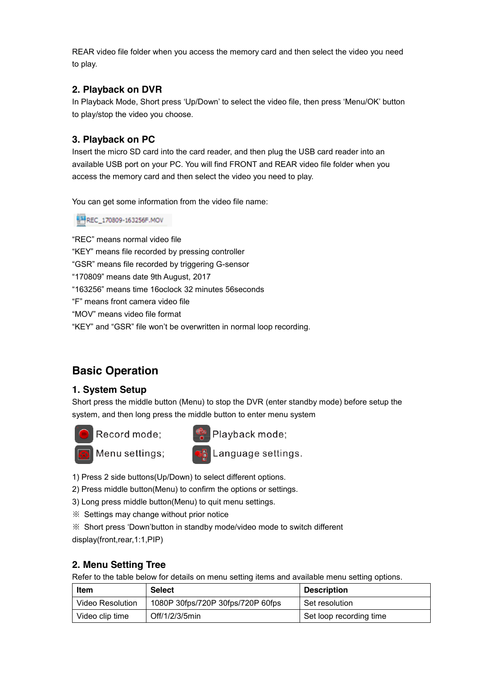REAR video file folder when you access the memory card and then select the video you need to play.

#### **2. Playback on DVR**

In Playback Mode, Short press 'Up/Down' to select the video file, then press 'Menu/OK' button to play/stop the video you choose.

### **3. Playback on PC**

Insert the micro SD card into the card reader, and then plug the USB card reader into an available USB port on your PC. You will find FRONT and REAR video file folder when you access the memory card and then select the video you need to play.

You can get some information from the video file name:

REC\_170809-163256F.MOV

"REC" means normal video file "KEY" means file recorded by pressing controller "GSR" means file recorded by triggering G-sensor "170809" means date 9th August, 2017 "163256" means time 16oclock 32 minutes 56seconds "F" means front camera video file "MOV" means video file format "KEY" and "GSR" file won't be overwritten in normal loop recording.

## **Basic Operation**

#### **1. System Setup**

Short press the middle button (Menu) to stop the DVR (enter standby mode) before setup the system, and then long press the middle button to enter menu system



Record mode;



Playback mode;

Menu settings;

**EN Language settings.** 

1) Press 2 side buttons(Up/Down) to select different options.

2) Press middle button(Menu) to confirm the options or settings.

- 3) Long press middle button(Menu) to quit menu settings.
- ※ Settings may change without prior notice

※ Short press 'Down'button in standby mode/video mode to switch different display(front,rear,1:1,PIP)

#### **2. Menu Setting Tree**

Refer to the table below for details on menu setting items and available menu setting options.

| Item             | <b>Select</b>                     | <b>Description</b>      |
|------------------|-----------------------------------|-------------------------|
| Video Resolution | 1080P 30fps/720P 30fps/720P 60fps | Set resolution          |
| Video clip time  | Off/1/2/3/5min                    | Set loop recording time |